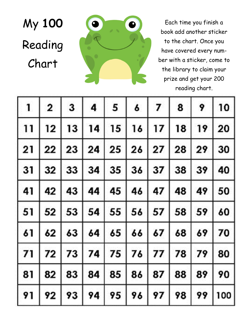



Each time you finish a book add another sticker to the chart. Once you have covered every number with a sticker, come to the library to claim your prize and get your 200 reading chart.

| $\mathbf{1}$ | $\mathbf{2}$ | $\mathbf{3}$ | $\overline{\mathbf{4}}$ | 5            | 6       | $\overline{z}$ | 8  | 9  | 10  |
|--------------|--------------|--------------|-------------------------|--------------|---------|----------------|----|----|-----|
| 11           | 12           | 13           | 14                      | 15           | 16      | 17             | 18 | 19 | 20  |
| 21           | 22           | 23 24        |                         |              | 25 26   | 27             | 28 | 29 | 30  |
| 31           | 32           |              | 33   34                 |              | 35 36   | 37 38          |    | 39 | 40  |
| 41           | 42           | 43           |                         | 44   45   46 |         | 47             | 48 | 49 | 50  |
| 51           | 52           | 53 54        |                         |              | 55 56   | 57             | 58 | 59 | 60  |
| 61           | 62           |              | 63   64                 |              | $65$ 66 | 67             | 68 | 69 | 70  |
| 71           | 72           | 73           | 74                      | 75           | 76      | 77             | 78 | 79 | 80  |
| 81           | 82           |              | 83   84   85            |              |         | 86   87        | 88 | 89 | 90  |
| 91           | 92           | 93           | 94                      | 95           | 96      | 97             | 98 | 99 | 100 |